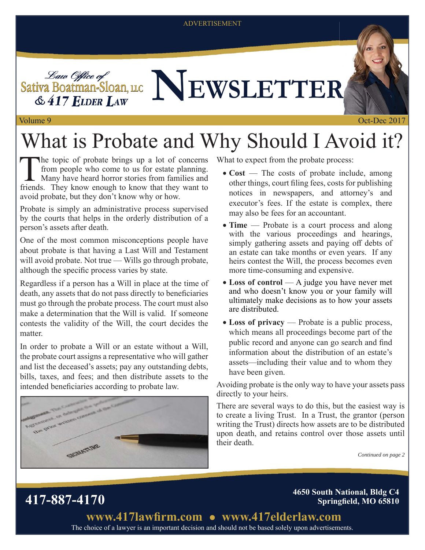#### ADVERTISEMENT

Sativa Boatman-Sloan, LLC NEWSLETTER  $&$  417 ELDER LAW

# What is Probate and Why Should I Avoid it?

The topic of probate brings up a lot of concerns<br>
from people who come to us for estate planning.<br>
Many have heard horror stories from families and<br>
friends. They know enough to know that they want to from people who come to us for estate planning. friends. They know enough to know that they want to avoid probate, but they don't know why or how.

Probate is simply an administrative process supervised by the courts that helps in the orderly distribution of a person's assets after death.

One of the most common misconceptions people have about probate is that having a Last Will and Testament will avoid probate. Not true — Wills go through probate, although the specific process varies by state.

Regardless if a person has a Will in place at the time of death, any assets that do not pass directly to beneficiaries must go through the probate process. The court must also make a determination that the Will is valid. If someone contests the validity of the Will, the court decides the matter.

In order to probate a Will or an estate without a Will, the probate court assigns a representative who will gather and list the deceased's assets; pay any outstanding debts, bills, taxes, and fees; and then distribute assets to the intended beneficiaries according to probate law.



What to expect from the probate process:

- Cost The costs of probate include, among other things, court filing fees, costs for publishing notices in newspapers, and attorney's and executor's fees. If the estate is complex, there may also be fees for an accountant.
- **Time** Probate is a court process and along with the various proceedings and hearings, simply gathering assets and paying off debts of an estate can take months or even years. If any heirs contest the Will, the process becomes even more time-consuming and expensive.
- Loss of control A judge you have never met and who doesn't know you or your family will ultimately make decisions as to how your assets are distributed.
- **Loss of privacy** Probate is a public process, which means all proceedings become part of the public record and anyone can go search and find information about the distribution of an estate's assets—including their value and to whom they have been given.

Avoiding probate is the only way to have your assets pass directly to your heirs.

There are several ways to do this, but the easiest way is to create a living Trust. In a Trust, the grantor (person writing the Trust) directs how assets are to be distributed upon death, and retains control over those assets until their death.

*Continued on page 2*

**417-887-4170 4650 South National, Bldg C4 Springfield, MO 65810** 

> The choice of a lawyer is an important decision and should not be based solely upon advertisements. www.417lawfirm.com • www.417elderlaw.com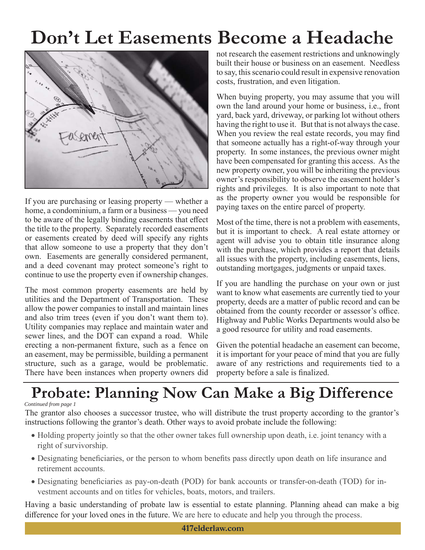## **Don't Let Easements Become a Headache**



If you are purchasing or leasing property — whether a home, a condominium, a farm or a business — you need to be aware of the legally binding easements that effect the title to the property. Separately recorded easements or easements created by deed will specify any rights that allow someone to use a property that they don't own. Easements are generally considered permanent, and a deed covenant may protect someone's right to continue to use the property even if ownership changes.

The most common property easements are held by utilities and the Department of Transportation. These allow the power companies to install and maintain lines and also trim trees (even if you don't want them to). Utility companies may replace and maintain water and sewer lines, and the DOT can expand a road. While erecting a non-permanent fixture, such as a fence on an easement, may be permissible, building a permanent structure, such as a garage, would be problematic. There have been instances when property owners did not research the easement restrictions and unknowingly built their house or business on an easement. Needless to say, this scenario could result in expensive renovation costs, frustration, and even litigation.

When buying property, you may assume that you will own the land around your home or business, i.e., front yard, back yard, driveway, or parking lot without others having the right to use it. But that is not always the case. When you review the real estate records, you may find that someone actually has a right-of-way through your property. In some instances, the previous owner might have been compensated for granting this access. As the new property owner, you will be inheriting the previous owner's responsibility to observe the easement holder's rights and privileges. It is also important to note that as the property owner you would be responsible for paying taxes on the entire parcel of property.

Most of the time, there is not a problem with easements, but it is important to check. A real estate attorney or agent will advise you to obtain title insurance along with the purchase, which provides a report that details all issues with the property, including easements, liens, outstanding mortgages, judgments or unpaid taxes.

If you are handling the purchase on your own or just want to know what easements are currently tied to your property, deeds are a matter of public record and can be obtained from the county recorder or assessor's office. Highway and Public Works Departments would also be a good resource for utility and road easements.

Given the potential headache an easement can become, it is important for your peace of mind that you are fully aware of any restrictions and requirements tied to a property before a sale is finalized.

## **Probate: Planning Now Can Make a Big Difference**

#### *Continued from page 1*

The grantor also chooses a successor trustee, who will distribute the trust property according to the grantor's instructions following the grantor's death. Other ways to avoid probate include the following:

- Holding property jointly so that the other owner takes full ownership upon death, i.e. joint tenancy with a right of survivorship.
- Designating beneficiaries, or the person to whom benefits pass directly upon death on life insurance and retirement accounts.
- Designating beneficiaries as pay-on-death (POD) for bank accounts or transfer-on-death (TOD) for investment accounts and on titles for vehicles, boats, motors, and trailers.

Having a basic understanding of probate law is essential to estate planning. Planning ahead can make a big difference for your loved ones in the future. We are here to educate and help you through the process.

**417elderlaw.com**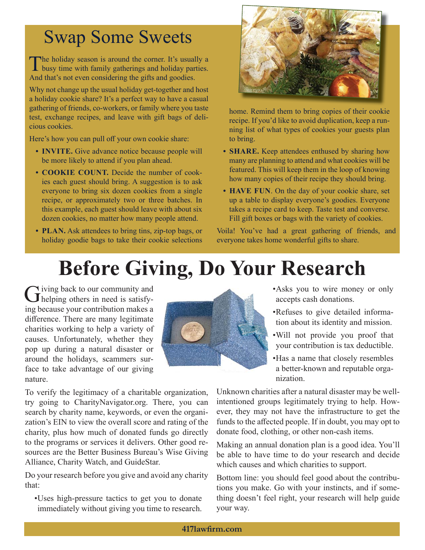### Swap Some Sweets

The holiday season is around the corner. It's usually a busy time with family gatherings and holiday parties. And that's not even considering the gifts and goodies.

Why not change up the usual holiday get-together and host a holiday cookie share? It's a perfect way to have a casual gathering of friends, co-workers, or family where you taste test, exchange recipes, and leave with gift bags of delicious cookies.

Here's how you can pull off your own cookie share:

- **INVITE.** Give advance notice because people will be more likely to attend if you plan ahead.
- **COOKIE COUNT.** Decide the number of cookies each guest should bring. A suggestion is to ask everyone to bring six dozen cookies from a single recipe, or approximately two or three batches. In this example, each guest should leave with about six dozen cookies, no matter how many people attend.
- **PLAN.** Ask attendees to bring tins, zip-top bags, or holiday goodie bags to take their cookie selections



home. Remind them to bring copies of their cookie recipe. If you'd like to avoid duplication, keep a running list of what types of cookies your guests plan to bring.

- **SHARE.** Keep attendees enthused by sharing how many are planning to attend and what cookies will be featured. This will keep them in the loop of knowing how many copies of their recipe they should bring.
- **HAVE FUN**. On the day of your cookie share, set up a table to display everyone's goodies. Everyone takes a recipe card to keep. Taste test and converse. Fill gift boxes or bags with the variety of cookies.

Voila! You've had a great gathering of friends, and everyone takes home wonderful gifts to share.

# **Before Giving, Do Your Research**

Giving back to our community and<br>
Chelping others in need is satisfying because your contribution makes a difference. There are many legitimate charities working to help a variety of causes. Unfortunately, whether they pop up during a natural disaster or around the holidays, scammers surface to take advantage of our giving nature.

To verify the legitimacy of a charitable organization, try going to CharityNavigator.org. There, you can search by charity name, keywords, or even the organization's EIN to view the overall score and rating of the charity, plus how much of donated funds go directly to the programs or services it delivers. Other good resources are the Better Business Bureau's Wise Giving Alliance, Charity Watch, and GuideStar.

Do your research before you give and avoid any charity that:

• Uses high-pressure tactics to get you to donate immediately without giving you time to research.



• Asks you to wire money or only accepts cash donations.

- Refuses to give detailed information about its identity and mission.
- Will not provide you proof that your contribution is tax deductible.
- Has a name that closely resembles a better-known and reputable organization.

Unknown charities after a natural disaster may be wellintentioned groups legitimately trying to help. However, they may not have the infrastructure to get the funds to the affected people. If in doubt, you may opt to donate food, clothing, or other non-cash items.

Making an annual donation plan is a good idea. You'll be able to have time to do your research and decide which causes and which charities to support.

Bottom line: you should feel good about the contributions you make. Go with your instincts, and if something doesn't feel right, your research will help guide your way.